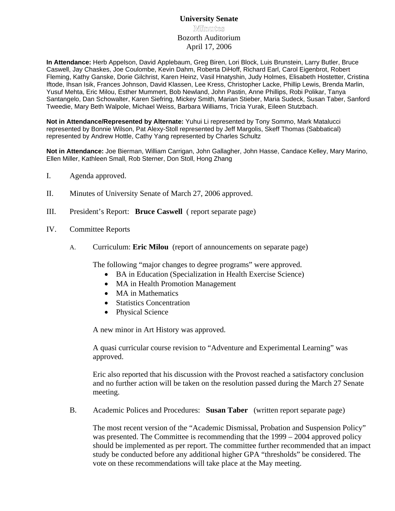# **University Senate Minmuntes** Bozorth Auditorium April 17, 2006

**In Attendance:** Herb Appelson, David Applebaum, Greg Biren, Lori Block, Luis Brunstein, Larry Butler, Bruce Caswell, Jay Chaskes, Joe Coulombe, Kevin Dahm, Roberta DiHoff, Richard Earl, Carol Eigenbrot, Robert Fleming, Kathy Ganske, Dorie Gilchrist, Karen Heinz, Vasil Hnatyshin, Judy Holmes, Elisabeth Hostetter, Cristina Iftode, Ihsan Isik, Frances Johnson, David Klassen, Lee Kress, Christopher Lacke, Phillip Lewis, Brenda Marlin, Yusuf Mehta, Eric Milou, Esther Mummert, Bob Newland, John Pastin, Anne Phillips, Robi Polikar, Tanya Santangelo, Dan Schowalter, Karen Siefring, Mickey Smith, Marian Stieber, Maria Sudeck, Susan Taber, Sanford Tweedie, Mary Beth Walpole, Michael Weiss, Barbara Williams, Tricia Yurak, Eileen Stutzbach.

**Not in Attendance/Represented by Alternate:** Yuhui Li represented by Tony Sommo, Mark Matalucci represented by Bonnie Wilson, Pat Alexy-Stoll represented by Jeff Margolis, Skeff Thomas (Sabbatical) represented by Andrew Hottle, Cathy Yang represented by Charles Schultz

**Not in Attendance:** Joe Bierman, William Carrigan, John Gallagher, John Hasse, Candace Kelley, Mary Marino, Ellen Miller, Kathleen Small, Rob Sterner, Don Stoll, Hong Zhang

- I. Agenda approved.
- II. Minutes of University Senate of March 27, 2006 approved.
- III. President's Report: **Bruce Caswell** ( report separate page)
- IV. Committee Reports
	- A. Curriculum: **Eric Milou** (report of announcements on separate page)

The following "major changes to degree programs" were approved.

- BA in Education (Specialization in Health Exercise Science)
- MA in Health Promotion Management
- MA in Mathematics
- Statistics Concentration
- Physical Science

A new minor in Art History was approved.

A quasi curricular course revision to "Adventure and Experimental Learning" was approved.

Eric also reported that his discussion with the Provost reached a satisfactory conclusion and no further action will be taken on the resolution passed during the March 27 Senate meeting.

B. Academic Polices and Procedures: **Susan Taber** (written report separate page)

 The most recent version of the "Academic Dismissal, Probation and Suspension Policy" was presented. The Committee is recommending that the 1999 – 2004 approved policy should be implemented as per report. The committee further recommended that an impact study be conducted before any additional higher GPA "thresholds" be considered. The vote on these recommendations will take place at the May meeting.